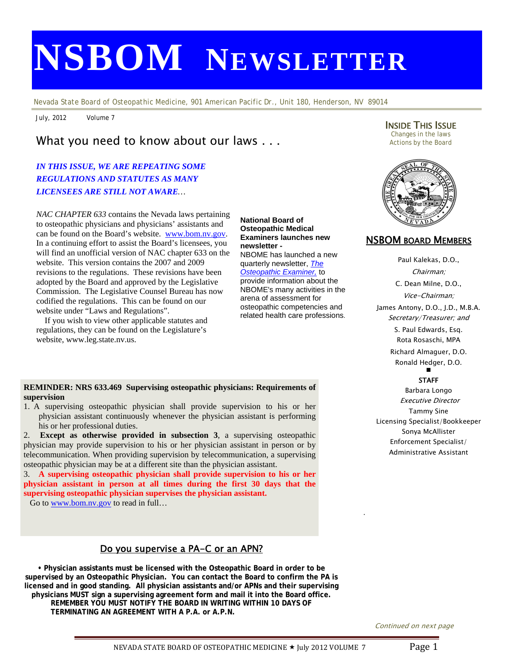# **NSBOM NEWSLETTER**

*Nevada State Board of Osteopathic Medicine, 901 American Pacific Dr., Unit 180, Henderson, NV 89014* 

July, 2012 Volume 7

# What you need to know about our laws . . .

# *IN THIS ISSUE, WE ARE REPEATING SOME REGULATIONS AND STATUTES AS MANY LICENSEES ARE STILL NOT AWARE…*

 will find an unofficial version of NAC chapter 633 on the *NAC CHAPTER 633* contains the Nevada laws pertaining to osteopathic physicians and physicians' assistants and can be found on the Board's website. www.bom.nv.gov. In a continuing effort to assist the Board's licensees, you website. This version contains the 2007 and 2009 revisions to the regulations. These revisions have been adopted by the Board and approved by the Legislative Commission. The Legislative Counsel Bureau has now codified the regulations. This can be found on our website under "Laws and Regulations".

 If you wish to view other applicable statutes and regulations, they can be found on the Legislature's website, www.leg.state.nv.us.

#### **National Board of Osteopathic Medical Examiners launches new newsletter -**  NBOME has launched a new

quarterly newsletter, *The Osteopathic Examiner,* to provide information about the NBOME's many activities in the arena of assessment for osteopathic competencies and related health care professions.

#### **REMINDER: NRS 633.469 Supervising osteopathic physicians: Requirements of supervision**

1. A supervising osteopathic physician shall provide supervision to his or her physician assistant continuously whenever the physician assistant is performing his or her professional duties.

2. **Except as otherwise provided in subsection 3**, a supervising osteopathic physician may provide supervision to his or her physician assistant in person or by telecommunication. When providing supervision by telecommunication, a supervising osteopathic physician may be at a different site than the physician assistant.

3. **A supervising osteopathic physician shall provide supervision to his or her physician assistant in person at all times during the first 30 days that the supervising osteopathic physician supervises the physician assistant.**

Go to www.bom.nv.gov to read in full...

# Do you supervise a PA-C or an APN?

**• Physician assistants must be licensed with the Osteopathic Board in order to be supervised by an Osteopathic Physician. You can contact the Board to confirm the PA is licensed and in good standing. All physician assistants and/or APNs and their supervising physicians MUST sign a supervising agreement form and mail it into the Board office. REMEMBER YOU MUST NOTIFY THE BOARD IN WRITING WITHIN 10 DAYS OF TERMINATING AN AGREEMENT WITH A P.A. or A.P.N.** 

**INSIDE THIS ISSUE**<br>Changes in the laws Actions by the Board



## NSBOM BOARD MEMBERS

Paul Kalekas, D.O., Chairman; C. Dean Milne, D.O., Vice-Chairman; James Antony, D.O., J.D., M.B.A. Secretary/Treasurer; and S. Paul Edwards, Esq. Rota Rosaschi, MPA Richard Almaguer, D.O.

> Ronald Hedger, D.O. Ξ

## **STAFF**

Barbara Longo Executive Director Tammy Sine Licensing Specialist/Bookkeeper Sonya McAllister Enforcement Specialist/ Administrative Assistant

Continued on next page

.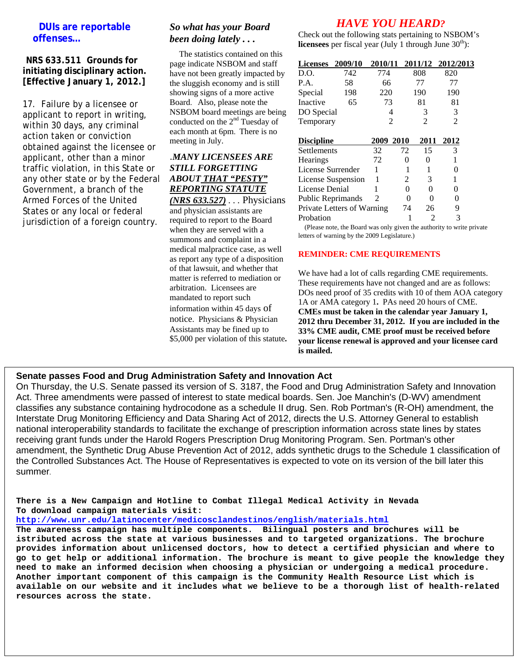## **DUIs are reportable offenses…**

#### **NRS 633.511 Grounds for initiating disciplinary action. [Effective January 1, 2012.]**

17. Failure by a licensee or applicant to report in writing, within 30 days, any criminal action taken or conviction obtained against the licensee or applicant, other than a minor traffic violation, in this State or any other state or by the Federal Government, a branch of the Armed Forces of the United States or any local or federal jurisdiction of a foreign country.

# *So what has your Board been doing lately . . .*

The statistics contained on this page indicate NSBOM and staff have not been greatly impacted by the sluggish economy and is still showing signs of a more active Board. Also, please note the NSBOM board meetings are being conducted on the 2<sup>nd</sup> Tuesday of each month at 6pm. There is no meeting in July.

# .*MANY LICENSEES ARE STILL FORGETTING ABOUT THAT "PESTY" REPORTING STATUTE*

*(NRS 633.527) . . .* Physicians and physician assistants are required to report to the Board when they are served with a summons and complaint in a medical malpractice case, as well as report any type of a disposition of that lawsuit, and whether that matter is referred to mediation or arbitration. Licensees are mandated to report such information within 45 days of notice. Physicians & Physician Assistants may be fined up to \$5,000 per violation of this statute**.**

# *HAVE YOU HEARD?*

Check out the following stats pertaining to NSBOM's **licensees** per fiscal year (July 1 through June  $30<sup>th</sup>$ ):

| <b>Licenses</b>            | 2009/10 | 2010/11        |    | 2011/12        | 2012/2013      |  |
|----------------------------|---------|----------------|----|----------------|----------------|--|
| D.O.                       | 742     | 774            |    | 808            | 820            |  |
| P.A.                       | 58      | 66             |    | 77             | 77             |  |
| Special                    | 198     | 220            |    | 190            | 190            |  |
| Inactive                   | 65      | 73             |    | 81             | 81             |  |
| DO Special                 |         | 4              |    | 3              | 3              |  |
| Temporary                  |         | $\mathfrak{D}$ |    | $\mathfrak{D}$ | $\overline{2}$ |  |
| <b>Discipline</b>          |         | 2009 2010      |    | 2011           | 2012           |  |
| Settlements                |         | 32             | 72 | 15             | 3              |  |
| <b>Hearings</b>            |         | 72             | 0  | 0              | 1              |  |
| License Surrender          |         | 1              |    |                | 0              |  |
| License Suspension         |         |                | 2  | 3              | 1              |  |
| License Denial             |         |                | 0  | 0              | 0              |  |
| Public Reprimands          |         | 2              | 0  | 0              | 0              |  |
| Private Letters of Warning |         |                | 74 | 26             | 9              |  |
| Probation                  |         |                |    | 2              | 3              |  |

 (Please note, the Board was only given the authority to write private letters of warning by the 2009 Legislature.)

### **REMINDER: CME REQUIREMENTS**

We have had a lot of calls regarding CME requirements. These requirements have not changed and are as follows: DOs need proof of 35 credits with 10 of them AOA category 1A or AMA category 1**.** PAs need 20 hours of CME. **CMEs must be taken in the calendar year January 1, 2012 thru December 31, 2012. If you are included in the 33% CME audit, CME proof must be received before your license renewal is approved and your licensee card is mailed.**

## **Senate passes Food and Drug Administration Safety and Innovation Act**

On Thursday, the U.S. Senate passed its version of S. 3187, the Food and Drug Administration Safety and Innovation Act. Three amendments were passed of interest to state medical boards. Sen. Joe Manchin's (D-WV) amendment classifies any substance containing hydrocodone as a schedule II drug. Sen. Rob Portman's (R-OH) amendment, the Interstate Drug Monitoring Efficiency and Data Sharing Act of 2012, directs the U.S. Attorney General to establish national interoperability standards to facilitate the exchange of prescription information across state lines by states receiving grant funds under the Harold Rogers Prescription Drug Monitoring Program. Sen. Portman's other amendment, the Synthetic Drug Abuse Prevention Act of 2012, adds synthetic drugs to the Schedule 1 classification of the Controlled Substances Act. The House of Representatives is expected to vote on its version of the bill later this summer.

**There is a New Campaign and Hotline to Combat Illegal Medical Activity in Nevada To download campaign materials visit:** 

**http://www.unr.edu/latinocenter/medicosclandestinos/english/materials.html**

**The awareness campaign has multiple components. Bilingual posters and brochures will be istributed across the state at various businesses and to targeted organizations. The brochure provides information about unlicensed doctors, how to detect a certified physician and where to go to get help or additional information. The brochure is meant to give people the knowledge they need to make an informed decision when choosing a physician or undergoing a medical procedure. Another important component of this campaign is the Community Health Resource List which is available on our website and it includes what we believe to be a thorough list of health-related resources across the state.**